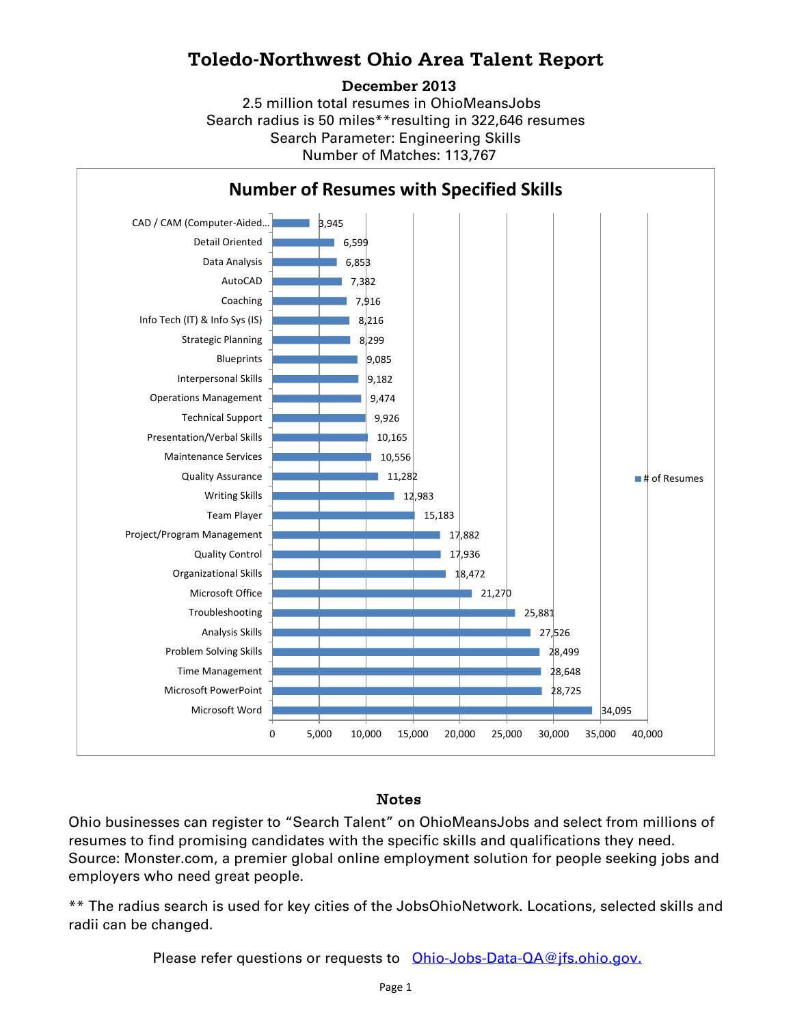## **Toledo-Northwest Ohio Area Talent Report**

#### **December 2013**

2.5 million total resumes in OhioMeansJobs Search radius is 50 miles\*\*resulting in 322,646 resumes Number of Matches: 113,767 Search Parameter: Engineering Skills



### Notes

Ohio businesses can register to "Search Talent" on OhioMeansJobs and select from millions of resumes to find promising candidates with the specific skills and qualifications they need. Source: Monster.com, a premier global online employment solution for people seeking jobs and employers who need great people.

\*\* The radius search is used for key cities of the JobsOhioNetwork. Locations, selected skills and radii can be changed.

Please refer questions or requests to [Ohio-Jobs-Data-QA@jfs.ohio.gov.](mailto:Ohio-Jobs-Data-QA@jfs.ohio.gov.)